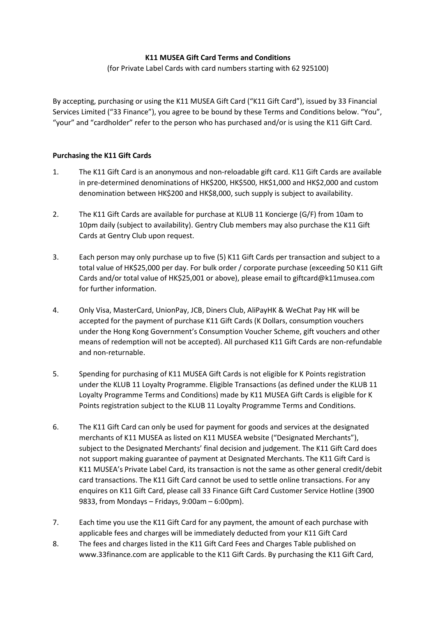# **K11 MUSEA Gift Card Terms and Conditions**

(for Private Label Cards with card numbers starting with 62 925100)

By accepting, purchasing or using the K11 MUSEA Gift Card ("K11 Gift Card"), issued by 33 Financial Services Limited ("33 Finance"), you agree to be bound by these Terms and Conditions below. "You", "your" and "cardholder" refer to the person who has purchased and/or is using the K11 Gift Card.

# **Purchasing the K11 Gift Cards**

- 1. The K11 Gift Card is an anonymous and non-reloadable gift card. K11 Gift Cards are available in pre-determined denominations of HK\$200, HK\$500, HK\$1,000 and HK\$2,000 and custom denomination between HK\$200 and HK\$8,000, such supply is subject to availability.
- 2. The K11 Gift Cards are available for purchase at KLUB 11 Koncierge (G/F) from 10am to 10pm daily (subject to availability). Gentry Club members may also purchase the K11 Gift Cards at Gentry Club upon request.
- 3. Each person may only purchase up to five (5) K11 Gift Cards per transaction and subject to a total value of HK\$25,000 per day. For bulk order / corporate purchase (exceeding 50 K11 Gift Cards and/or total value of HK\$25,001 or above), please email to giftcard@k11musea.com for further information.
- 4. Only Visa, MasterCard, UnionPay, JCB, Diners Club, AliPayHK & WeChat Pay HK will be accepted for the payment of purchase K11 Gift Cards (K Dollars, consumption vouchers under the Hong Kong Government's Consumption Voucher Scheme, gift vouchers and other means of redemption will not be accepted). All purchased K11 Gift Cards are non-refundable and non-returnable.
- 5. Spending for purchasing of K11 MUSEA Gift Cards is not eligible for K Points registration under the KLUB 11 Loyalty Programme. Eligible Transactions (as defined under the KLUB 11 Loyalty Programme Terms and Conditions) made by K11 MUSEA Gift Cards is eligible for K Points registration subject to the KLUB 11 Loyalty Programme Terms and Conditions.
- 6. The K11 Gift Card can only be used for payment for goods and services at the designated merchants of K11 MUSEA as listed on K11 MUSEA website ("Designated Merchants"), subject to the Designated Merchants' final decision and judgement. The K11 Gift Card does not support making guarantee of payment at Designated Merchants. The K11 Gift Card is K11 MUSEA's Private Label Card, its transaction is not the same as other general credit/debit card transactions. The K11 Gift Card cannot be used to settle online transactions. For any enquires on K11 Gift Card, please call 33 Finance Gift Card Customer Service Hotline (3900 9833, from Mondays – Fridays, 9:00am – 6:00pm).
- 7. Each time you use the K11 Gift Card for any payment, the amount of each purchase with applicable fees and charges will be immediately deducted from your K11 Gift Card
- 8. The fees and charges listed in the K11 Gift Card Fees and Charges Table published on www.33finance.com are applicable to the K11 Gift Cards. By purchasing the K11 Gift Card,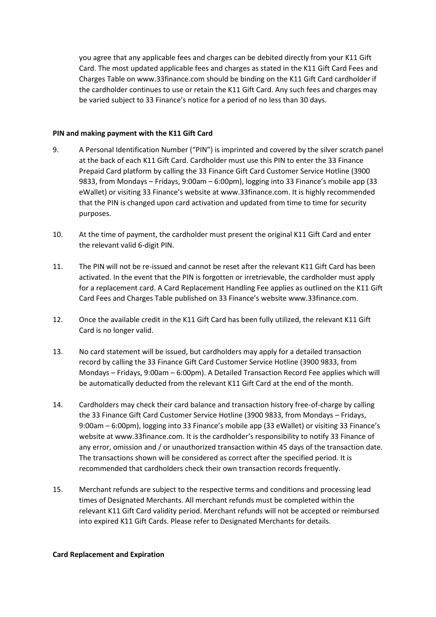you agree that any applicable fees and charges can be debited directly from your K11 Gift Card. The most updated applicable fees and charges as stated in the K11 Gift Card Fees and Charges Table on www.33finance.com should be binding on the K11 Gift Card cardholder if the cardholder continues to use or retain the K11 Gift Card. Any such fees and charges may be varied subject to 33 Finance's notice for a period of no less than 30 days.

#### **PIN and making payment with the K11 Gift Card**

- 9. A Personal Identification Number ("PIN") is imprinted and covered by the silver scratch panel at the back of each K11 Gift Card. Cardholder must use this PIN to enter the 33 Finance Prepaid Card platform by calling the 33 Finance Gift Card Customer Service Hotline (3900 9833, from Mondays – Fridays, 9:00am – 6:00pm), logging into 33 Finance's mobile app (33 eWallet) or visiting 33 Finance's website at www.33finance.com. It is highly recommended that the PIN is changed upon card activation and updated from time to time for security purposes.
- 10. At the time of payment, the cardholder must present the original K11 Gift Card and enter the relevant valid 6-digit PIN.
- 11. The PIN will not be re-issued and cannot be reset after the relevant K11 Gift Card has been activated. In the event that the PIN is forgotten or irretrievable, the cardholder must apply for a replacement card. A Card Replacement Handling Fee applies as outlined on the K11 Gift Card Fees and Charges Table published on 33 Finance's website www.33finance.com.
- 12. Once the available credit in the K11 Gift Card has been fully utilized, the relevant K11 Gift Card is no longer valid.
- 13. No card statement will be issued, but cardholders may apply for a detailed transaction record by calling the 33 Finance Gift Card Customer Service Hotline (3900 9833, from Mondays – Fridays, 9:00am – 6:00pm). A Detailed Transaction Record Fee applies which will be automatically deducted from the relevant K11 Gift Card at the end of the month.
- 14. Cardholders may check their card balance and transaction history free-of-charge by calling the 33 Finance Gift Card Customer Service Hotline (3900 9833, from Mondays – Fridays, 9:00am – 6:00pm), logging into 33 Finance's mobile app (33 eWallet) or visiting 33 Finance's website at www.33finance.com. It is the cardholder's responsibility to notify 33 Finance of any error, omission and / or unauthorized transaction within 45 days of the transaction date. The transactions shown will be considered as correct after the specified period. It is recommended that cardholders check their own transaction records frequently.
- 15. Merchant refunds are subject to the respective terms and conditions and processing lead times of Designated Merchants. All merchant refunds must be completed within the relevant K11 Gift Card validity period. Merchant refunds will not be accepted or reimbursed into expired K11 Gift Cards. Please refer to Designated Merchants for details.

#### **Card Replacement and Expiration**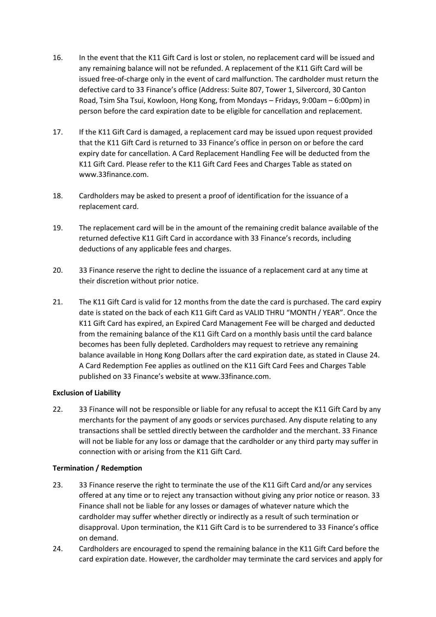- 16. In the event that the K11 Gift Card is lost or stolen, no replacement card will be issued and any remaining balance will not be refunded. A replacement of the K11 Gift Card will be issued free-of-charge only in the event of card malfunction. The cardholder must return the defective card to 33 Finance's office (Address: Suite 807, Tower 1, Silvercord, 30 Canton Road, Tsim Sha Tsui, Kowloon, Hong Kong, from Mondays – Fridays, 9:00am – 6:00pm) in person before the card expiration date to be eligible for cancellation and replacement.
- 17. If the K11 Gift Card is damaged, a replacement card may be issued upon request provided that the K11 Gift Card is returned to 33 Finance's office in person on or before the card expiry date for cancellation. A Card Replacement Handling Fee will be deducted from the K11 Gift Card. Please refer to the K11 Gift Card Fees and Charges Table as stated on www.33finance.com.
- 18. Cardholders may be asked to present a proof of identification for the issuance of a replacement card.
- 19. The replacement card will be in the amount of the remaining credit balance available of the returned defective K11 Gift Card in accordance with 33 Finance's records, including deductions of any applicable fees and charges.
- 20. 33 Finance reserve the right to decline the issuance of a replacement card at any time at their discretion without prior notice.
- 21. The K11 Gift Card is valid for 12 months from the date the card is purchased. The card expiry date is stated on the back of each K11 Gift Card as VALID THRU "MONTH / YEAR". Once the K11 Gift Card has expired, an Expired Card Management Fee will be charged and deducted from the remaining balance of the K11 Gift Card on a monthly basis until the card balance becomes has been fully depleted. Cardholders may request to retrieve any remaining balance available in Hong Kong Dollars after the card expiration date, as stated in Clause 24. A Card Redemption Fee applies as outlined on the K11 Gift Card Fees and Charges Table published on 33 Finance's website at www.33finance.com.

# **Exclusion of Liability**

22. 33 Finance will not be responsible or liable for any refusal to accept the K11 Gift Card by any merchants for the payment of any goods or services purchased. Any dispute relating to any transactions shall be settled directly between the cardholder and the merchant. 33 Finance will not be liable for any loss or damage that the cardholder or any third party may suffer in connection with or arising from the K11 Gift Card.

# **Termination / Redemption**

- 23. 33 Finance reserve the right to terminate the use of the K11 Gift Card and/or any services offered at any time or to reject any transaction without giving any prior notice or reason. 33 Finance shall not be liable for any losses or damages of whatever nature which the cardholder may suffer whether directly or indirectly as a result of such termination or disapproval. Upon termination, the K11 Gift Card is to be surrendered to 33 Finance's office on demand.
- 24. Cardholders are encouraged to spend the remaining balance in the K11 Gift Card before the card expiration date. However, the cardholder may terminate the card services and apply for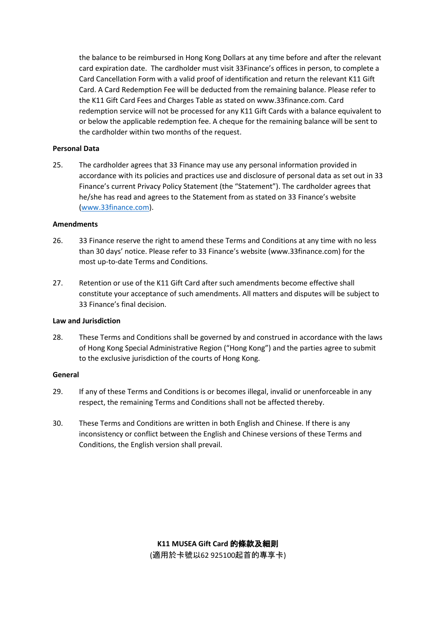the balance to be reimbursed in Hong Kong Dollars at any time before and after the relevant card expiration date. The cardholder must visit 33Finance's offices in person, to complete a Card Cancellation Form with a valid proof of identification and return the relevant K11 Gift Card. A Card Redemption Fee will be deducted from the remaining balance. Please refer to the K11 Gift Card Fees and Charges Table as stated on www.33finance.com. Card redemption service will not be processed for any K11 Gift Cards with a balance equivalent to or below the applicable redemption fee. A cheque for the remaining balance will be sent to the cardholder within two months of the request.

### **Personal Data**

25. The cardholder agrees that 33 Finance may use any personal information provided in accordance with its policies and practices use and disclosure of personal data as set out in 33 Finance's current Privacy Policy Statement (the "Statement"). The cardholder agrees that he/she has read and agrees to the Statement from as stated on 33 Finance's website [\(www.33finance.com\)](http://www.33finance.com/).

#### **Amendments**

- 26. 33 Finance reserve the right to amend these Terms and Conditions at any time with no less than 30 days' notice. Please refer to 33 Finance's website (www.33finance.com) for the most up-to-date Terms and Conditions.
- 27. Retention or use of the K11 Gift Card after such amendments become effective shall constitute your acceptance of such amendments. All matters and disputes will be subject to 33 Finance's final decision.

### **Law and Jurisdiction**

28. These Terms and Conditions shall be governed by and construed in accordance with the laws of Hong Kong Special Administrative Region ("Hong Kong") and the parties agree to submit to the exclusive jurisdiction of the courts of Hong Kong.

#### **General**

- 29. If any of these Terms and Conditions is or becomes illegal, invalid or unenforceable in any respect, the remaining Terms and Conditions shall not be affected thereby.
- 30. These Terms and Conditions are written in both English and Chinese. If there is any inconsistency or conflict between the English and Chinese versions of these Terms and Conditions, the English version shall prevail.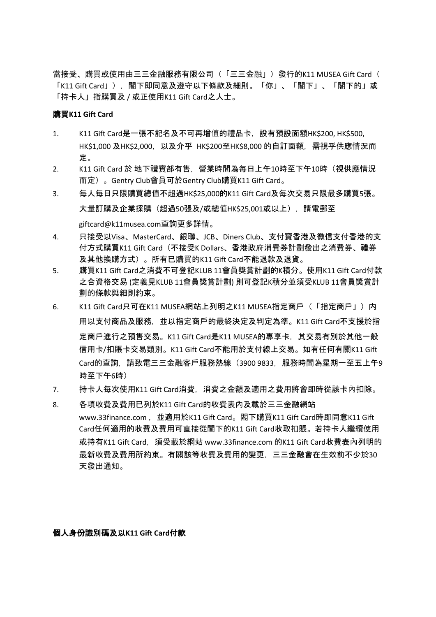當接受、購買或使用由三三金融服務有限公司(「三三金融」)發行的K11 MUSEA Gift Card( 「K11 Gift Card」),閣下即同意及遵守以下條款及細則。「你」、「閣下」、「閣下的」或 「持卡人」指購買及 / 或正使用K11 Gift Card之人士。

## 購買**K11 Gift Card**

- 1. K11 Gift Card是一張不記名及不可再增值的禮品卡,設有預設面額HK\$200, HK\$500, HK\$1,000 及HK\$2,000,以及介乎 HK\$200至HK\$8,000 的自訂面額,需視乎供應情況而 定。
- 2. K11 Gift Card 於 地下禮賓部有售,營業時間為每日上午10時至下午10時 (視供應情況 而定)。Gentry Club會員可於Gentry Club購買K11 Gift Card。
- 3. 每人每日只限購買總值不超過HK\$25,000的K11 Gift Card及每次交易只限最多購買5張。 大量訂購及企業採購(超過50張及/或總值HK\$25,001或以上),請電郵至

giftcard@k11musea.com查詢更多詳情。

- 4. 只接受以Visa、MasterCard、銀聯、JCB、Diners Club、支付寶香港及微信支付香港的支 付方式購買K11 Gift Card(不接受K Dollars、香港政府消費券計劃發出之消費券、禮券 及其他換購方式)。所有已購買的K11 Gift Card不能退款及退貨。
- 5. 購買K11 Gift Card之消費不可登記KLUB 11會員獎賞計劃的K積分。使用K11 Gift Card付款 之合資格交易 (定義見KLUB 11會員獎賞計劃) 則可登記K積分並須受KLUB 11會員獎賞計 劃的條款與細則約束。
- 6. K11 Gift Card只可在K11 MUSEA網站上列明之K11 MUSEA指定商戶(「指定商戶」)内 用以支付商品及服務,並以指定商戶的最終決定及判定為準。K11 Gift Card不支援於指 定商戶進行之預售交易。K11 Gift Card是K11 MUSEA的專享卡,其交易有別於其他一般 信用卡/扣賬卡交易類別。K11 Gift Card不能用於支付線上交易。如有任何有關K11 Gift Card的查詢,請致電三三金融客戶服務熱線(3900 9833,服務時間為星期一至五上午9 時至下午6時)
- 7. 持卡人每次使用K11 Gift Card消費,消費之金額及適用之費用將會即時從該卡內扣除。
- 8. 各項收費及費用已列於K11 Gift Card的收費表內及載於三三金融網站 www.33finance.com ,並適用於K11 Gift Card。閣下購買K11 Gift Card時即同意K11 Gift Card任何適用的收費及費用可直接從閣下的K11 Gift Card收取扣賬。若持卡人繼續使用 或持有K11 Gift Card,須受載於網站 www.33finance.com 的K11 Gift Card收費表內列明的 最新收費及費用所約束。有關該等收費及費用的變更,三三金融會在生效前不少於30 天發出通知。

## 個人身份識別碼及以**K11 Gift Card**付款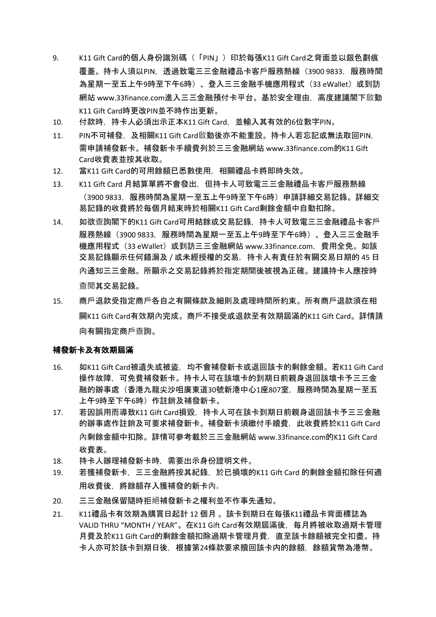- 9. K11 Gift Card的個人身份識別碼(「PIN」)印於每張K11 Gift Card之背面並以銀色劃痕 覆蓋。持卡人須以PIN,透過致電三三金融禮品卡客戶服務熱線(3900 9833,服務時間 為星期一至五上午9時至下午6時)、登入三三金融手機應用程式 (33 eWallet) 或到訪 網站 www.33finance.com進入三三金融預付卡平台。基於安全理由,高度建議閣下啟動 K11 Gift Card時更改PIN並不時作出更新。
- 10. 付款時,持卡人必須出示正本K11 Gift Card,並輸入其有效的6位數字PIN。
- 11. PIN不可補發, 及相關K11 Gift Card啟動後亦不能重設。持卡人若忘記或無法取回PIN, 需申請補發新卡。補發新卡手續費列於三三金融網站 www.33finance.com的K11 Gift Card收費表並按其收取。
- 12. 當K11 Gift Card的可用餘額已悉數使用,相關禮品卡將即時失效。
- 13. K11 Gift Card 月結算單將不會發出,但持卡人可致電三三金融禮品卡客戶服務熱線 (3900 9833,服務時間為星期一至五上午9時至下午6時)申請詳細交易記錄。詳細交 易記錄的收費將於每個月結束時於相關K11 Gift Card剩餘金額中自動扣除。
- 14. 如欲查詢閣下的K11 Gift Card可用結餘或交易記錄,持卡人可致電三三金融禮品卡客戶 服務熱線(3900 9833,服務時間為星期一至五上午9時至下午6時)、登入三三金融手 機應用程式(33 eWallet)或到訪三三金融網站 www.33finance.com,費用全免。如該 交易記錄顯示任何錯漏及 / 或未經授權的交易,持卡人有責任於有關交易日期的 45 日 內通知三三金融。所顯示之交易記錄將於指定期間後被視為正確。建議持卡人應按時 查閱其交易記錄。
- 15. 商戶退款受指定商戶各自之有關條款及細則及處理時間所約束。所有商戶退款須在相 關K11 Gift Card有效期內完成。商戶不接受或退款至有效期屆滿的K11 Gift Card。詳情請 向有關指定商戶查詢。

#### 補發新卡及有效期屆滿

- 16. 如K11 Gift Card被遺失或被盜,均不會補發新卡或退回該卡的剩餘金額。若K11 Gift Card 操作故障,可免費補發新卡。持卡人可在該壞卡的到期日前親身退回該壞卡予三三金 融的辦事處(香港九龍尖沙咀廣東道30號新港中心1座807室,服務時間為星期一至五 上午9時至下午6時)作註銷及補發新卡。
- 17. 若因誤用而導致K11 Gift Card損毀,持卡人可在該卡到期日前親身退回該卡予三三金融 的辦事處作註銷及可要求補發新卡。補發新卡須繳付手續費,此收費將於K11 Gift Card 內剩餘金額中扣除。詳情可參考載於三三金融網站 www.33finance.com的K11 Gift Card 收費表。
- 18. 持卡人辦理補發新卡時,需要出示身份證明文件。
- 19. 若獲補發新卡,三三金融將按其紀錄,於已損壞的K11 Gift Card 的剩餘金額扣除任何適 用收費後,將餘額存入獲補發的新卡內。
- 20. 三三金融保留隨時拒絕補發新卡之權利並不作事先通知。
- 21. K11禮品卡有效期為購買日起計 12 個月 。該卡到期日在每張K11禮品卡背面標誌為 VALID THRU "MONTH / YEAR"。在K11 Gift Card有效期屆滿後, 每月將被收取過期卡管理 月費及於K11 Gift Card的剩餘金額扣除過期卡管理月費,直至該卡餘額被完全扣盡。持 卡人亦可於該卡到期日後,根據第24條款要求贖回該卡内的餘額,餘額貨幣為港幣。